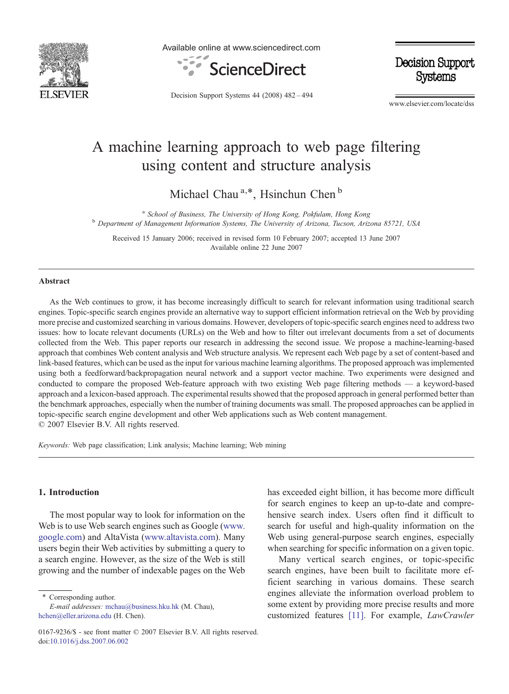

Available online at www.sciencedirect.com



**Decision Support** Systems

Decision Support Systems 44 (2008) 482–494

www.elsevier.com/locate/dss

# A machine learning approach to web page filtering using content and structure analysis

Michael Chau<sup>a,\*</sup>, Hsinchun Chen<sup>b</sup>

<sup>a</sup> School of Business, The University of Hong Kong, Pokfulam, Hong Kong<br><sup>b</sup> Department of Management Information Systems, The University of Arizona, Tucson, Arizona 85721, USA

Received 15 January 2006; received in revised form 10 February 2007; accepted 13 June 2007 Available online 22 June 2007

#### Abstract

As the Web continues to grow, it has become increasingly difficult to search for relevant information using traditional search engines. Topic-specific search engines provide an alternative way to support efficient information retrieval on the Web by providing more precise and customized searching in various domains. However, developers of topic-specific search engines need to address two issues: how to locate relevant documents (URLs) on the Web and how to filter out irrelevant documents from a set of documents collected from the Web. This paper reports our research in addressing the second issue. We propose a machine-learning-based approach that combines Web content analysis and Web structure analysis. We represent each Web page by a set of content-based and link-based features, which can be used as the input for various machine learning algorithms. The proposed approach was implemented using both a feedforward/backpropagation neural network and a support vector machine. Two experiments were designed and conducted to compare the proposed Web-feature approach with two existing Web page filtering methods — a keyword-based approach and a lexicon-based approach. The experimental results showed that the proposed approach in general performed better than the benchmark approaches, especially when the number of training documents was small. The proposed approaches can be applied in topic-specific search engine development and other Web applications such as Web content management. © 2007 Elsevier B.V. All rights reserved.

Keywords: Web page classification; Link analysis; Machine learning; Web mining

## 1. Introduction

The most popular way to look for information on the Web is to use Web search engines such as Google ([www.](http://www.google.com) [google.com\)](http://www.google.com) and AltaVista ([www.altavista.com](http://www.altavista.com)). Many users begin their Web activities by submitting a query to a search engine. However, as the size of the Web is still growing and the number of indexable pages on the Web

⁎ Corresponding author.

E-mail addresses: [mchau@business.hku.hk](mailto:mchau@business.hku.hk) (M. Chau), [hchen@eller.arizona.edu](mailto:hchen@eller.arizona.edu) (H. Chen).

has exceeded eight billion, it has become more difficult for search engines to keep an up-to-date and comprehensive search index. Users often find it difficult to search for useful and high-quality information on the Web using general-purpose search engines, especially when searching for specific information on a given topic.

Many vertical search engines, or topic-specific search engines, have been built to facilitate more efficient searching in various domains. These search engines alleviate the information overload problem to some extent by providing more precise results and more customized features [\[11\]](#page-10-0). For example, LawCrawler

<sup>0167-9236/\$ -</sup> see front matter © 2007 Elsevier B.V. All rights reserved. doi[:10.1016/j.dss.2007.06.002](http://dx.doi.org/10.1016/j.dss.2007.06.002)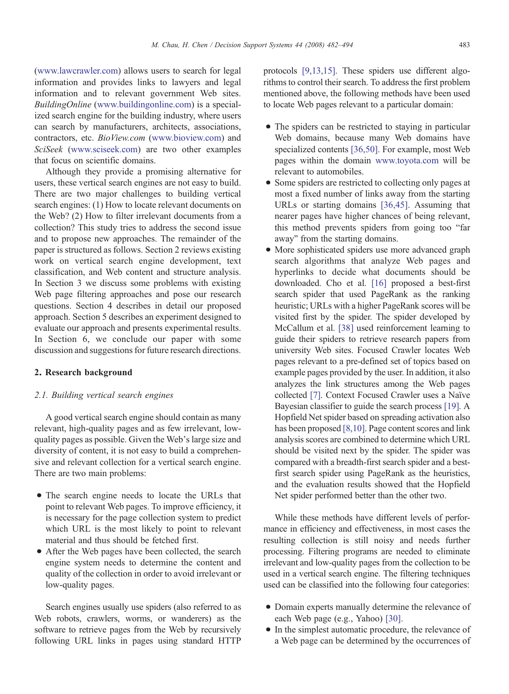[\(www.lawcrawler.com](http://www.lawcrawler.com)) allows users to search for legal information and provides links to lawyers and legal information and to relevant government Web sites. BuildingOnline ([www.buildingonline.com\)](http://www.buildingonline.com) is a specialized search engine for the building industry, where users can search by manufacturers, architects, associations, contractors, etc. BioView.com [\(www.bioview.com\)](http://www.bioview.com) and SciSeek ([www.sciseek.com](http://www.sciseek.com)) are two other examples that focus on scientific domains.

Although they provide a promising alternative for users, these vertical search engines are not easy to build. There are two major challenges to building vertical search engines: (1) How to locate relevant documents on the Web? (2) How to filter irrelevant documents from a collection? This study tries to address the second issue and to propose new approaches. The remainder of the paper is structured as follows. Section 2 reviews existing work on vertical search engine development, text classification, and Web content and structure analysis. In Section 3 we discuss some problems with existing Web page filtering approaches and pose our research questions. Section 4 describes in detail our proposed approach. Section 5 describes an experiment designed to evaluate our approach and presents experimental results. In Section 6, we conclude our paper with some discussion and suggestions for future research directions.

## 2. Research background

#### 2.1. Building vertical search engines

A good vertical search engine should contain as many relevant, high-quality pages and as few irrelevant, lowquality pages as possible. Given the Web's large size and diversity of content, it is not easy to build a comprehensive and relevant collection for a vertical search engine. There are two main problems:

- The search engine needs to locate the URLs that point to relevant Web pages. To improve efficiency, it is necessary for the page collection system to predict which URL is the most likely to point to relevant material and thus should be fetched first.
- After the Web pages have been collected, the search engine system needs to determine the content and quality of the collection in order to avoid irrelevant or low-quality pages.

Search engines usually use spiders (also referred to as Web robots, crawlers, worms, or wanderers) as the software to retrieve pages from the Web by recursively following URL links in pages using standard HTTP protocols [\[9,13,15\].](#page-10-0) These spiders use different algorithms to control their search. To address the first problem mentioned above, the following methods have been used to locate Web pages relevant to a particular domain:

- The spiders can be restricted to staying in particular Web domains, because many Web domains have specialized contents [\[36,50\]](#page-11-0). For example, most Web pages within the domain [www.toyota.com](http://www.toyota.com) will be relevant to automobiles.
- Some spiders are restricted to collecting only pages at most a fixed number of links away from the starting URLs or starting domains [\[36,45\]](#page-11-0). Assuming that nearer pages have higher chances of being relevant, this method prevents spiders from going too "far away" from the starting domains.
- More sophisticated spiders use more advanced graph search algorithms that analyze Web pages and hyperlinks to decide what documents should be downloaded. Cho et al. [\[16\]](#page-10-0) proposed a best-first search spider that used PageRank as the ranking heuristic; URLs with a higher PageRank scores will be visited first by the spider. The spider developed by McCallum et al. [\[38\]](#page-11-0) used reinforcement learning to guide their spiders to retrieve research papers from university Web sites. Focused Crawler locates Web pages relevant to a pre-defined set of topics based on example pages provided by the user. In addition, it also analyzes the link structures among the Web pages collected [\[7\].](#page-10-0) Context Focused Crawler uses a Naïve Bayesian classifier to guide the search process [\[19\]](#page-10-0). A Hopfield Net spider based on spreading activation also has been proposed [\[8,10\]](#page-10-0). Page content scores and link analysis scores are combined to determine which URL should be visited next by the spider. The spider was compared with a breadth-first search spider and a bestfirst search spider using PageRank as the heuristics, and the evaluation results showed that the Hopfield Net spider performed better than the other two.

While these methods have different levels of performance in efficiency and effectiveness, in most cases the resulting collection is still noisy and needs further processing. Filtering programs are needed to eliminate irrelevant and low-quality pages from the collection to be used in a vertical search engine. The filtering techniques used can be classified into the following four categories:

- Domain experts manually determine the relevance of each Web page (e.g., Yahoo) [\[30\].](#page-11-0)
- In the simplest automatic procedure, the relevance of a Web page can be determined by the occurrences of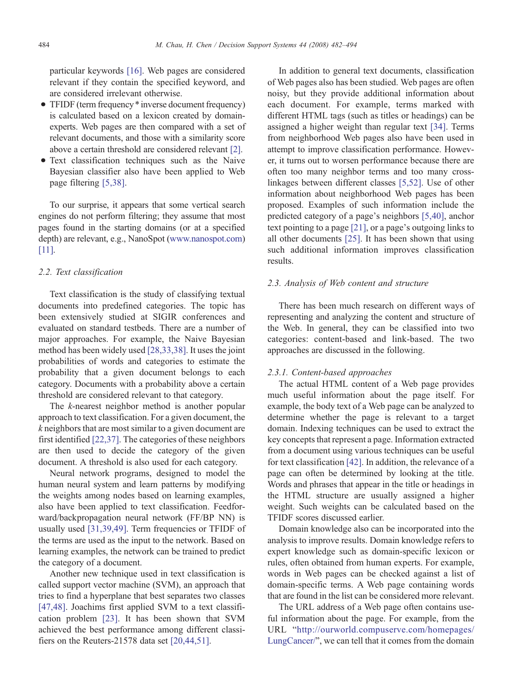particular keywords [\[16\].](#page-10-0) Web pages are considered relevant if they contain the specified keyword, and are considered irrelevant otherwise.

- TFIDF (term frequency \* inverse document frequency) is calculated based on a lexicon created by domainexperts. Web pages are then compared with a set of relevant documents, and those with a similarity score above a certain threshold are considered relevant [\[2\]](#page-10-0).
- Text classification techniques such as the Naive Bayesian classifier also have been applied to Web page filtering [\[5,38\]](#page-10-0).

To our surprise, it appears that some vertical search engines do not perform filtering; they assume that most pages found in the starting domains (or at a specified depth) are relevant, e.g., NanoSpot ([www.nanospot.com](http://www.nanospot.com)) [\[11\].](#page-10-0)

#### 2.2. Text classification

Text classification is the study of classifying textual documents into predefined categories. The topic has been extensively studied at SIGIR conferences and evaluated on standard testbeds. There are a number of major approaches. For example, the Naive Bayesian method has been widely used [\[28,33,38\].](#page-11-0) It uses the joint probabilities of words and categories to estimate the probability that a given document belongs to each category. Documents with a probability above a certain threshold are considered relevant to that category.

The *k*-nearest neighbor method is another popular approach to text classification. For a given document, the k neighbors that are most similar to a given document are first identified [\[22,37\]](#page-10-0). The categories of these neighbors are then used to decide the category of the given document. A threshold is also used for each category.

Neural network programs, designed to model the human neural system and learn patterns by modifying the weights among nodes based on learning examples, also have been applied to text classification. Feedforward/backpropagation neural network (FF/BP NN) is usually used [\[31,39,49\]](#page-11-0). Term frequencies or TFIDF of the terms are used as the input to the network. Based on learning examples, the network can be trained to predict the category of a document.

Another new technique used in text classification is called support vector machine (SVM), an approach that tries to find a hyperplane that best separates two classes [\[47,48\]](#page-11-0). Joachims first applied SVM to a text classification problem [\[23\].](#page-11-0) It has been shown that SVM achieved the best performance among different classifiers on the Reuters-21578 data set [\[20,44,51\].](#page-10-0)

In addition to general text documents, classification of Web pages also has been studied. Web pages are often noisy, but they provide additional information about each document. For example, terms marked with different HTML tags (such as titles or headings) can be assigned a higher weight than regular text [\[34\].](#page-11-0) Terms from neighborhood Web pages also have been used in attempt to improve classification performance. However, it turns out to worsen performance because there are often too many neighbor terms and too many crosslinkages between different classes [\[5,52\].](#page-10-0) Use of other information about neighborhood Web pages has been proposed. Examples of such information include the predicted category of a page's neighbors [\[5,40\]](#page-10-0), anchor text pointing to a page [\[21\],](#page-10-0) or a page's outgoing links to all other documents [\[25\]](#page-11-0). It has been shown that using such additional information improves classification results.

## 2.3. Analysis of Web content and structure

There has been much research on different ways of representing and analyzing the content and structure of the Web. In general, they can be classified into two categories: content-based and link-based. The two approaches are discussed in the following.

## 2.3.1. Content-based approaches

The actual HTML content of a Web page provides much useful information about the page itself. For example, the body text of a Web page can be analyzed to determine whether the page is relevant to a target domain. Indexing techniques can be used to extract the key concepts that represent a page. Information extracted from a document using various techniques can be useful for text classification [\[42\].](#page-11-0) In addition, the relevance of a page can often be determined by looking at the title. Words and phrases that appear in the title or headings in the HTML structure are usually assigned a higher weight. Such weights can be calculated based on the TFIDF scores discussed earlier.

Domain knowledge also can be incorporated into the analysis to improve results. Domain knowledge refers to expert knowledge such as domain-specific lexicon or rules, often obtained from human experts. For example, words in Web pages can be checked against a list of domain-specific terms. A Web page containing words that are found in the list can be considered more relevant.

The URL address of a Web page often contains useful information about the page. For example, from the URL "[http://ourworld.compuserve.com/homepages/](http://ourworld.compuserve.com/homepages/LungCancer/) [LungCancer/](http://ourworld.compuserve.com/homepages/LungCancer/)", we can tell that it comes from the domain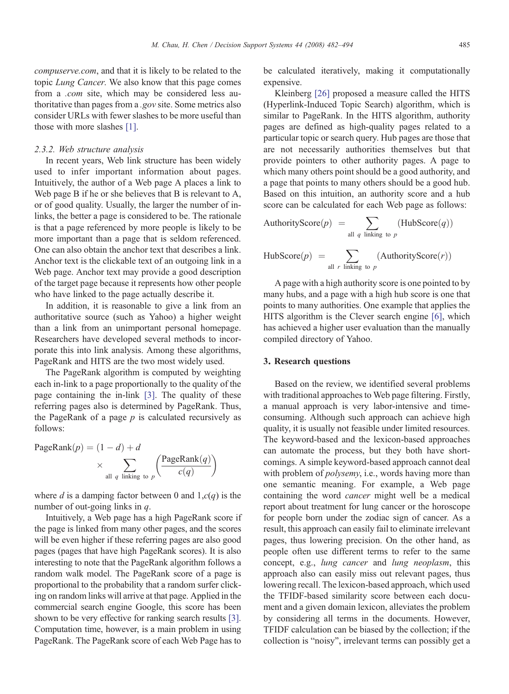[compuserve.com](http://ourworld.compuserve.com/homepages/LungCancer/), and that it is likely to be related to the topic Lung Cancer. We also know that this page comes from a .com site, which may be considered less authoritative than pages from a .gov site. Some metrics also consider URLs with fewer slashes to be more useful than those with more slashes [\[1\].](#page-10-0)

#### 2.3.2. Web structure analysis

In recent years, Web link structure has been widely used to infer important information about pages. Intuitively, the author of a Web page A places a link to Web page B if he or she believes that B is relevant to A, or of good quality. Usually, the larger the number of inlinks, the better a page is considered to be. The rationale is that a page referenced by more people is likely to be more important than a page that is seldom referenced. One can also obtain the anchor text that describes a link. Anchor text is the clickable text of an outgoing link in a Web page. Anchor text may provide a good description of the target page because it represents how other people who have linked to the page actually describe it.

In addition, it is reasonable to give a link from an authoritative source (such as Yahoo) a higher weight than a link from an unimportant personal homepage. Researchers have developed several methods to incorporate this into link analysis. Among these algorithms, PageRank and HITS are the two most widely used.

The PageRank algorithm is computed by weighting each in-link to a page proportionally to the quality of the page containing the in-link [\[3\].](#page-10-0) The quality of these referring pages also is determined by PageRank. Thus, the PageRank of a page  $p$  is calculated recursively as follows:

PageRank(*p*) = (1 - *d*) + *d*  
\n
$$
\times \sum_{\text{all } q \text{ linking to } p} \left( \frac{\text{PageRank}(q)}{c(q)} \right)
$$

where d is a damping factor between 0 and  $1, c(q)$  is the number of out-going links in q.

Intuitively, a Web page has a high PageRank score if the page is linked from many other pages, and the scores will be even higher if these referring pages are also good pages (pages that have high PageRank scores). It is also interesting to note that the PageRank algorithm follows a random walk model. The PageRank score of a page is proportional to the probability that a random surfer clicking on random links will arrive at that page. Applied in the commercial search engine Google, this score has been shown to be very effective for ranking search results [\[3\].](#page-10-0) Computation time, however, is a main problem in using PageRank. The PageRank score of each Web Page has to

be calculated iteratively, making it computationally expensive.

Kleinberg [\[26\]](#page-11-0) proposed a measure called the HITS (Hyperlink-Induced Topic Search) algorithm, which is similar to PageRank. In the HITS algorithm, authority pages are defined as high-quality pages related to a particular topic or search query. Hub pages are those that are not necessarily authorities themselves but that provide pointers to other authority pages. A page to which many others point should be a good authority, and a page that points to many others should be a good hub. Based on this intuition, an authority score and a hub score can be calculated for each Web page as follows:

$$
AuthorityScore(p) = \sum_{\text{all } q \text{ linking to } p} (HubScore(q))
$$

HubScore
$$
(p)
$$
 =  $\sum_{\text{all } r \text{ linking to } p}$  (AuthorityScore $(r)$ )

A page with a high authority score is one pointed to by many hubs, and a page with a high hub score is one that points to many authorities. One example that applies the HITS algorithm is the Clever search engine [\[6\]](#page-10-0), which has achieved a higher user evaluation than the manually compiled directory of Yahoo.

#### 3. Research questions

Based on the review, we identified several problems with traditional approaches to Web page filtering. Firstly, a manual approach is very labor-intensive and timeconsuming. Although such approach can achieve high quality, it is usually not feasible under limited resources. The keyword-based and the lexicon-based approaches can automate the process, but they both have shortcomings. A simple keyword-based approach cannot deal with problem of *polysemy*, i.e., words having more than one semantic meaning. For example, a Web page containing the word cancer might well be a medical report about treatment for lung cancer or the horoscope for people born under the zodiac sign of cancer. As a result, this approach can easily fail to eliminate irrelevant pages, thus lowering precision. On the other hand, as people often use different terms to refer to the same concept, e.g., lung cancer and lung neoplasm, this approach also can easily miss out relevant pages, thus lowering recall. The lexicon-based approach, which used the TFIDF-based similarity score between each document and a given domain lexicon, alleviates the problem by considering all terms in the documents. However, TFIDF calculation can be biased by the collection; if the collection is "noisy", irrelevant terms can possibly get a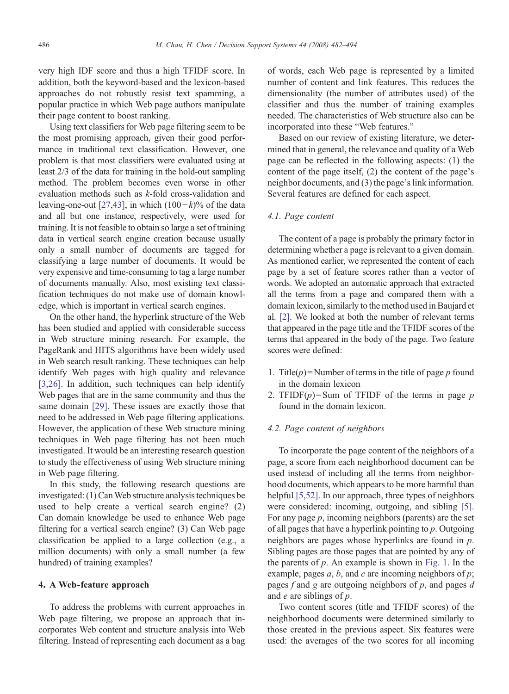very high IDF score and thus a high TFIDF score. In addition, both the keyword-based and the lexicon-based approaches do not robustly resist text spamming, a popular practice in which Web page authors manipulate their page content to boost ranking.

Using text classifiers for Web page filtering seem to be the most promising approach, given their good performance in traditional text classification. However, one problem is that most classifiers were evaluated using at least 2/3 of the data for training in the hold-out sampling method. The problem becomes even worse in other evaluation methods such as k-fold cross-validation and leaving-one-out [\[27,43\],](#page-11-0) in which  $(100-k)$ % of the data and all but one instance, respectively, were used for training. It is not feasible to obtain so large a set of training data in vertical search engine creation because usually only a small number of documents are tagged for classifying a large number of documents. It would be very expensive and time-consuming to tag a large number of documents manually. Also, most existing text classification techniques do not make use of domain knowledge, which is important in vertical search engines.

On the other hand, the hyperlink structure of the Web has been studied and applied with considerable success in Web structure mining research. For example, the PageRank and HITS algorithms have been widely used in Web search result ranking. These techniques can help identify Web pages with high quality and relevance [\[3,26\]](#page-10-0). In addition, such techniques can help identify Web pages that are in the same community and thus the same domain [\[29\].](#page-11-0) These issues are exactly those that need to be addressed in Web page filtering applications. However, the application of these Web structure mining techniques in Web page filtering has not been much investigated. It would be an interesting research question to study the effectiveness of using Web structure mining in Web page filtering.

In this study, the following research questions are investigated: (1) CanWeb structure analysis techniques be used to help create a vertical search engine? (2) Can domain knowledge be used to enhance Web page filtering for a vertical search engine? (3) Can Web page classification be applied to a large collection (e.g., a million documents) with only a small number (a few hundred) of training examples?

## 4. A Web-feature approach

To address the problems with current approaches in Web page filtering, we propose an approach that incorporates Web content and structure analysis into Web filtering. Instead of representing each document as a bag

of words, each Web page is represented by a limited number of content and link features. This reduces the dimensionality (the number of attributes used) of the classifier and thus the number of training examples needed. The characteristics of Web structure also can be incorporated into these "Web features."

Based on our review of existing literature, we determined that in general, the relevance and quality of a Web page can be reflected in the following aspects: (1) the content of the page itself, (2) the content of the page's neighbor documents, and (3) the page's link information. Several features are defined for each aspect.

## 4.1. Page content

The content of a page is probably the primary factor in determining whether a page is relevant to a given domain. As mentioned earlier, we represented the content of each page by a set of feature scores rather than a vector of words. We adopted an automatic approach that extracted all the terms from a page and compared them with a domain lexicon, similarly to the method used in Baujard et al. [\[2\].](#page-10-0) We looked at both the number of relevant terms that appeared in the page title and the TFIDF scores of the terms that appeared in the body of the page. Two feature scores were defined:

- 1. Title( $p$ ) = Number of terms in the title of page p found in the domain lexicon
- 2. TFIDF $(p)$ =Sum of TFIDF of the terms in page p found in the domain lexicon.

## 4.2. Page content of neighbors

To incorporate the page content of the neighbors of a page, a score from each neighborhood document can be used instead of including all the terms from neighborhood documents, which appears to be more harmful than helpful [\[5,52\]](#page-10-0). In our approach, three types of neighbors were considered: incoming, outgoing, and sibling [\[5\].](#page-10-0) For any page  $p$ , incoming neighbors (parents) are the set of all pages that have a hyperlink pointing to  $p$ . Outgoing neighbors are pages whose hyperlinks are found in p. Sibling pages are those pages that are pointed by any of the parents of  $p$ . An example is shown in [Fig. 1.](#page-5-0) In the example, pages  $a, b$ , and  $c$  are incoming neighbors of  $p$ ; pages  $f$  and  $g$  are outgoing neighbors of  $p$ , and pages  $d$ and  $e$  are siblings of  $p$ .

Two content scores (title and TFIDF scores) of the neighborhood documents were determined similarly to those created in the previous aspect. Six features were used: the averages of the two scores for all incoming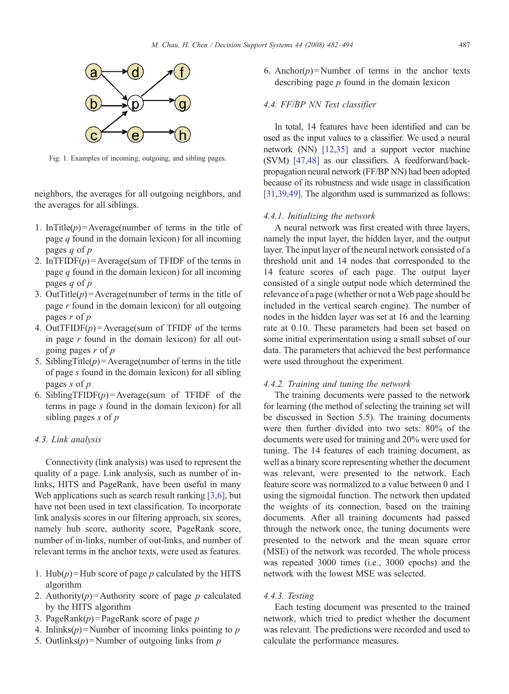<span id="page-5-0"></span>

Fig. 1. Examples of incoming, outgoing, and sibling pages.

neighbors, the averages for all outgoing neighbors, and the averages for all siblings.

- 1. InTitle( $p$ ) = Average(number of terms in the title of page  $q$  found in the domain lexicon) for all incoming pages  $q$  of  $p$
- 2. InTFIDF $(p)$  = Average(sum of TFIDF of the terms in page  $q$  found in the domain lexicon) for all incoming pages  $q$  of  $p$
- 3. OutTitle( $p$ ) = Average(number of terms in the title of page  $r$  found in the domain lexicon) for all outgoing pages  $r$  of  $p$
- 4. OutTFIDF $(p)$  = Average(sum of TFIDF of the terms in page  $r$  found in the domain lexicon) for all outgoing pages  $r$  of  $p$
- 5. SiblingTitle( $p$ ) = Average(number of terms in the title of page s found in the domain lexicon) for all sibling pages s of p
- 6. SiblingTFIDF(p) = Average(sum of TFIDF of the terms in page s found in the domain lexicon) for all sibling pages  $s$  of  $p$

## 4.3. Link analysis

Connectivity (link analysis) was used to represent the quality of a page. Link analysis, such as number of inlinks, HITS and PageRank, have been useful in many Web applications such as search result ranking [\[3,6\],](#page-10-0) but have not been used in text classification. To incorporate link analysis scores in our filtering approach, six scores, namely hub score, authority score, PageRank score, number of in-links, number of out-links, and number of relevant terms in the anchor texts, were used as features.

- 1. Hub( $p$ ) = Hub score of page p calculated by the HITS algorithm
- 2. Authority( $p$ ) = Authority score of page  $p$  calculated by the HITS algorithm
- 3. PageRank $(p)$  = PageRank score of page p
- 4. Inlinks $(p)$  = Number of incoming links pointing to p
- 5. Outlinks $(p)$ = Number of outgoing links from p

6. Anchor( $p$ ) = Number of terms in the anchor texts describing page  $p$  found in the domain lexicon

## 4.4. FF/BP NN Text classifier

In total, 14 features have been identified and can be used as the input values to a classifier. We used a neural network (NN) [\[12,35\]](#page-10-0) and a support vector machine (SVM) [\[47,48\]](#page-11-0) as our classifiers. A feedforward/backpropagation neural network (FF/BP NN) had been adopted because of its robustness and wide usage in classification [\[31,39,49\].](#page-11-0) The algorithm used is summarized as follows:

## 4.4.1. Initializing the network

A neural network was first created with three layers, namely the input layer, the hidden layer, and the output layer. The input layer of the neural network consisted of a threshold unit and 14 nodes that corresponded to the 14 feature scores of each page. The output layer consisted of a single output node which determined the relevance of a page (whether or not a Web page should be included in the vertical search engine). The number of nodes in the hidden layer was set at 16 and the learning rate at 0.10. These parameters had been set based on some initial experimentation using a small subset of our data. The parameters that achieved the best performance were used throughout the experiment.

#### 4.4.2. Training and tuning the network

The training documents were passed to the network for learning (the method of selecting the training set will be discussed in Section 5.5). The training documents were then further divided into two sets: 80% of the documents were used for training and 20% were used for tuning. The 14 features of each training document, as well as a binary score representing whether the document was relevant, were presented to the network. Each feature score was normalized to a value between 0 and 1 using the sigmoidal function. The network then updated the weights of its connection, based on the training documents. After all training documents had passed through the network once, the tuning documents were presented to the network and the mean square error (MSE) of the network was recorded. The whole process was repeated 3000 times (i.e., 3000 epochs) and the network with the lowest MSE was selected.

## 4.4.3. Testing

Each testing document was presented to the trained network, which tried to predict whether the document was relevant. The predictions were recorded and used to calculate the performance measures.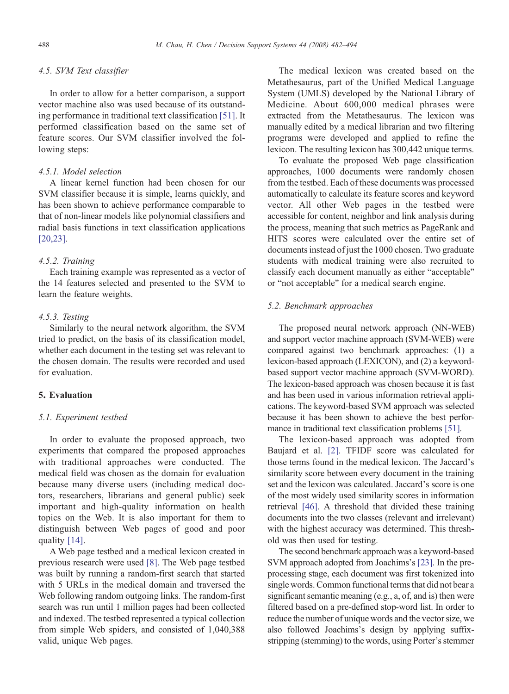#### 4.5. SVM Text classifier

In order to allow for a better comparison, a support vector machine also was used because of its outstanding performance in traditional text classification [\[51\].](#page-11-0) It performed classification based on the same set of feature scores. Our SVM classifier involved the following steps:

## 4.5.1. Model selection

A linear kernel function had been chosen for our SVM classifier because it is simple, learns quickly, and has been shown to achieve performance comparable to that of non-linear models like polynomial classifiers and radial basis functions in text classification applications [\[20,23\]](#page-10-0).

#### 4.5.2. Training

Each training example was represented as a vector of the 14 features selected and presented to the SVM to learn the feature weights.

## 4.5.3. Testing

Similarly to the neural network algorithm, the SVM tried to predict, on the basis of its classification model, whether each document in the testing set was relevant to the chosen domain. The results were recorded and used for evaluation.

## 5. Evaluation

#### 5.1. Experiment testbed

In order to evaluate the proposed approach, two experiments that compared the proposed approaches with traditional approaches were conducted. The medical field was chosen as the domain for evaluation because many diverse users (including medical doctors, researchers, librarians and general public) seek important and high-quality information on health topics on the Web. It is also important for them to distinguish between Web pages of good and poor quality [\[14\]](#page-10-0).

A Web page testbed and a medical lexicon created in previous research were used [\[8\]](#page-10-0). The Web page testbed was built by running a random-first search that started with 5 URLs in the medical domain and traversed the Web following random outgoing links. The random-first search was run until 1 million pages had been collected and indexed. The testbed represented a typical collection from simple Web spiders, and consisted of 1,040,388 valid, unique Web pages.

The medical lexicon was created based on the Metathesaurus, part of the Unified Medical Language System (UMLS) developed by the National Library of Medicine. About 600,000 medical phrases were extracted from the Metathesaurus. The lexicon was manually edited by a medical librarian and two filtering programs were developed and applied to refine the lexicon. The resulting lexicon has 300,442 unique terms.

To evaluate the proposed Web page classification approaches, 1000 documents were randomly chosen from the testbed. Each of these documents was processed automatically to calculate its feature scores and keyword vector. All other Web pages in the testbed were accessible for content, neighbor and link analysis during the process, meaning that such metrics as PageRank and HITS scores were calculated over the entire set of documents instead of just the 1000 chosen. Two graduate students with medical training were also recruited to classify each document manually as either "acceptable" or "not acceptable" for a medical search engine.

## 5.2. Benchmark approaches

The proposed neural network approach (NN-WEB) and support vector machine approach (SVM-WEB) were compared against two benchmark approaches: (1) a lexicon-based approach (LEXICON), and (2) a keywordbased support vector machine approach (SVM-WORD). The lexicon-based approach was chosen because it is fast and has been used in various information retrieval applications. The keyword-based SVM approach was selected because it has been shown to achieve the best performance in traditional text classification problems [\[51\].](#page-11-0)

The lexicon-based approach was adopted from Baujard et al. [\[2\]](#page-10-0). TFIDF score was calculated for those terms found in the medical lexicon. The Jaccard's similarity score between every document in the training set and the lexicon was calculated. Jaccard's score is one of the most widely used similarity scores in information retrieval [\[46\].](#page-11-0) A threshold that divided these training documents into the two classes (relevant and irrelevant) with the highest accuracy was determined. This threshold was then used for testing.

The second benchmark approach was a keyword-based SVM approach adopted from Joachims's [\[23\].](#page-11-0) In the preprocessing stage, each document was first tokenized into single words. Common functional terms that did not bear a significant semantic meaning (e.g., a, of, and is) then were filtered based on a pre-defined stop-word list. In order to reduce the number of unique words and the vector size, we also followed Joachims's design by applying suffixstripping (stemming) to the words, using Porter's stemmer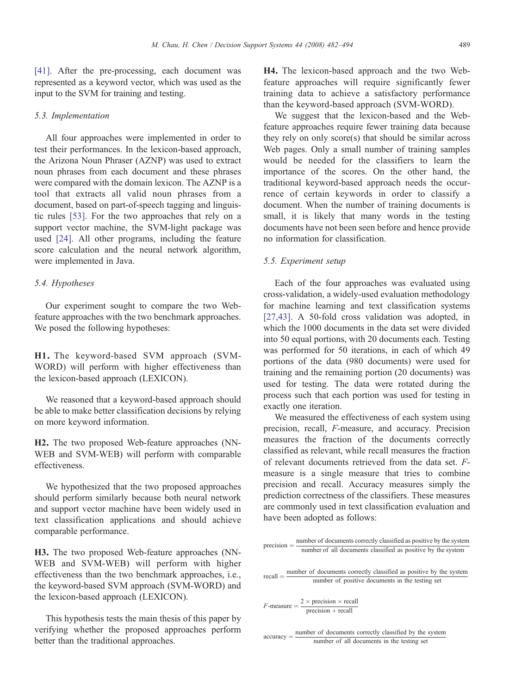[\[41\]](#page-11-0). After the pre-processing, each document was represented as a keyword vector, which was used as the input to the SVM for training and testing.

#### 5.3. Implementation

All four approaches were implemented in order to test their performances. In the lexicon-based approach, the Arizona Noun Phraser (AZNP) was used to extract noun phrases from each document and these phrases were compared with the domain lexicon. The AZNP is a tool that extracts all valid noun phrases from a document, based on part-of-speech tagging and linguistic rules [\[53\].](#page-11-0) For the two approaches that rely on a support vector machine, the SVM-light package was used [\[24\]](#page-11-0). All other programs, including the feature score calculation and the neural network algorithm, were implemented in Java.

#### 5.4. Hypotheses

Our experiment sought to compare the two Webfeature approaches with the two benchmark approaches. We posed the following hypotheses:

H1. The keyword-based SVM approach (SVM-WORD) will perform with higher effectiveness than the lexicon-based approach (LEXICON).

We reasoned that a keyword-based approach should be able to make better classification decisions by relying on more keyword information.

H2. The two proposed Web-feature approaches (NN-WEB and SVM-WEB) will perform with comparable effectiveness.

We hypothesized that the two proposed approaches should perform similarly because both neural network and support vector machine have been widely used in text classification applications and should achieve comparable performance.

H3. The two proposed Web-feature approaches (NN-WEB and SVM-WEB) will perform with higher effectiveness than the two benchmark approaches, i.e., the keyword-based SVM approach (SVM-WORD) and the lexicon-based approach (LEXICON).

This hypothesis tests the main thesis of this paper by verifying whether the proposed approaches perform better than the traditional approaches.

H4. The lexicon-based approach and the two Webfeature approaches will require significantly fewer training data to achieve a satisfactory performance than the keyword-based approach (SVM-WORD).

We suggest that the lexicon-based and the Webfeature approaches require fewer training data because they rely on only score(s) that should be similar across Web pages. Only a small number of training samples would be needed for the classifiers to learn the importance of the scores. On the other hand, the traditional keyword-based approach needs the occurrence of certain keywords in order to classify a document. When the number of training documents is small, it is likely that many words in the testing documents have not been seen before and hence provide no information for classification.

#### 5.5. Experiment setup

Each of the four approaches was evaluated using cross-validation, a widely-used evaluation methodology for machine learning and text classification systems [\[27,43\].](#page-11-0) A 50-fold cross validation was adopted, in which the 1000 documents in the data set were divided into 50 equal portions, with 20 documents each. Testing was performed for 50 iterations, in each of which 49 portions of the data (980 documents) were used for training and the remaining portion (20 documents) was used for testing. The data were rotated during the process such that each portion was used for testing in exactly one iteration.

We measured the effectiveness of each system using precision, recall, F-measure, and accuracy. Precision measures the fraction of the documents correctly classified as relevant, while recall measures the fraction of relevant documents retrieved from the data set. Fmeasure is a single measure that tries to combine precision and recall. Accuracy measures simply the prediction correctness of the classifiers. These measures are commonly used in text classification evaluation and have been adopted as follows:

| $precision =$ number of documents correctly classified as positive by the system<br>number of all documents classified as positive by the system                                                                                                                                                                                                                                                                                            |
|---------------------------------------------------------------------------------------------------------------------------------------------------------------------------------------------------------------------------------------------------------------------------------------------------------------------------------------------------------------------------------------------------------------------------------------------|
|                                                                                                                                                                                                                                                                                                                                                                                                                                             |
| $recall = \frac{number\ of\ documents\ correctly\ classified\ as\ positive\ by\ the\ system}{number\ of\ positive\ documents\ in\ the\ testing\ set}$                                                                                                                                                                                                                                                                                       |
|                                                                                                                                                                                                                                                                                                                                                                                                                                             |
| $F$ -measure = $\frac{2 \times \text{precision} \times \text{recall}}{\text{precision} + \text{recall}}$                                                                                                                                                                                                                                                                                                                                    |
|                                                                                                                                                                                                                                                                                                                                                                                                                                             |
| number of documents correctly classified by the system                                                                                                                                                                                                                                                                                                                                                                                      |
| $accuracy = \frac{1}{\sqrt{1 - \frac{1}{\sqrt{1 - \frac{1}{\sqrt{1 - \frac{1}{\sqrt{1 - \frac{1}{\sqrt{1 - \frac{1}{\sqrt{1 - \frac{1}{\sqrt{1 - \frac{1}{\sqrt{1 - \frac{1}{\sqrt{1 - \frac{1}{\sqrt{1 - \frac{1}{\sqrt{1 - \frac{1}{\sqrt{1 - \frac{1}{\sqrt{1 - \frac{1}{\sqrt{1 - \frac{1}{\sqrt{1 - \frac{1}{\sqrt{1 - \frac{1}{\sqrt{1 - \frac{1}{\sqrt{1 - \frac{1}{\sqrt{1 - \frac{1}{\sqrt{1 - \frac{1}{\sqrt{1 - \frac{1}{\sqrt{$ |
|                                                                                                                                                                                                                                                                                                                                                                                                                                             |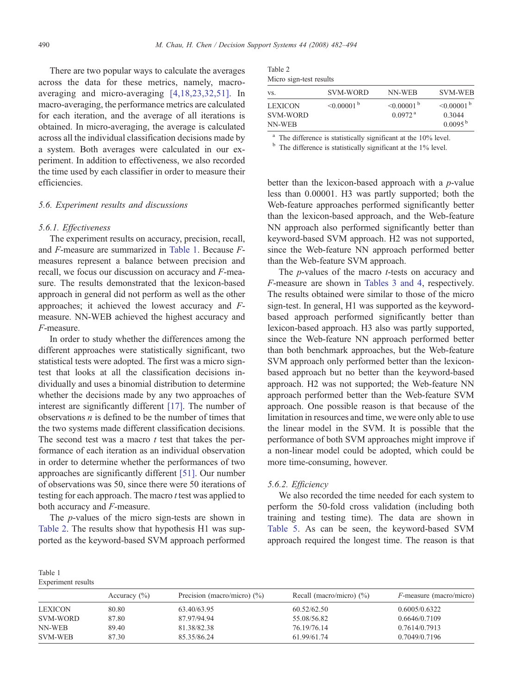There are two popular ways to calculate the averages across the data for these metrics, namely, macroaveraging and micro-averaging [\[4,18,23,32,51\]](#page-10-0). In macro-averaging, the performance metrics are calculated for each iteration, and the average of all iterations is obtained. In micro-averaging, the average is calculated across all the individual classification decisions made by a system. Both averages were calculated in our experiment. In addition to effectiveness, we also recorded the time used by each classifier in order to measure their efficiencies.

#### 5.6. Experiment results and discussions

## 5.6.1. Effectiveness

The experiment results on accuracy, precision, recall, and F-measure are summarized in Table 1. Because Fmeasures represent a balance between precision and recall, we focus our discussion on accuracy and F-measure. The results demonstrated that the lexicon-based approach in general did not perform as well as the other approaches; it achieved the lowest accuracy and Fmeasure. NN-WEB achieved the highest accuracy and F-measure.

In order to study whether the differences among the different approaches were statistically significant, two statistical tests were adopted. The first was a micro signtest that looks at all the classification decisions individually and uses a binomial distribution to determine whether the decisions made by any two approaches of interest are significantly different [\[17\]](#page-10-0). The number of observations  $n$  is defined to be the number of times that the two systems made different classification decisions. The second test was a macro  $t$  test that takes the performance of each iteration as an individual observation in order to determine whether the performances of two approaches are significantly different [\[51\]](#page-11-0). Our number of observations was 50, since there were 50 iterations of testing for each approach. The macro  $t$  test was applied to both accuracy and F-measure.

The p-values of the micro sign-tests are shown in Table 2. The results show that hypothesis H1 was supported as the keyword-based SVM approach performed

| Table 2                 |
|-------------------------|
| Micro sign-test results |

| VS.                                  | SVM-WORD                    | NN-WEB                                            | <b>SVM-WEB</b>                                              |
|--------------------------------------|-----------------------------|---------------------------------------------------|-------------------------------------------------------------|
| <b>LEXICON</b><br>SVM-WORD<br>NN-WEB | $\leq 0.00001^{\mathrm{b}}$ | $< 0.00001$ <sup>b</sup><br>$0.0972$ <sup>a</sup> | $< 0.00001$ <sup>b</sup><br>0.3044<br>$0.0095^{\mathrm{b}}$ |

<sup>a</sup> The difference is statistically significant at the 10% level. b The difference is statistically significant at the 1% level.

better than the lexicon-based approach with a  $p$ -value less than 0.00001. H3 was partly supported; both the Web-feature approaches performed significantly better than the lexicon-based approach, and the Web-feature NN approach also performed significantly better than keyword-based SVM approach. H2 was not supported, since the Web-feature NN approach performed better than the Web-feature SVM approach.

The *p*-values of the macro *t*-tests on accuracy and F-measure are shown in [Tables 3 and 4,](#page-9-0) respectively. The results obtained were similar to those of the micro sign-test. In general, H1 was supported as the keywordbased approach performed significantly better than lexicon-based approach. H3 also was partly supported, since the Web-feature NN approach performed better than both benchmark approaches, but the Web-feature SVM approach only performed better than the lexiconbased approach but no better than the keyword-based approach. H2 was not supported; the Web-feature NN approach performed better than the Web-feature SVM approach. One possible reason is that because of the limitation in resources and time, we were only able to use the linear model in the SVM. It is possible that the performance of both SVM approaches might improve if a non-linear model could be adopted, which could be more time-consuming, however.

#### 5.6.2. Efficiency

We also recorded the time needed for each system to perform the 50-fold cross validation (including both training and testing time). The data are shown in [Table 5.](#page-9-0) As can be seen, the keyword-based SVM approach required the longest time. The reason is that

| Table 1            |
|--------------------|
| Experiment results |

|                | Accuracy $(\% )$ | Precision (macro/micro) $(\%)$ | Recall (macro/micro) $(\%)$ | $F$ -measure (macro/micro) |
|----------------|------------------|--------------------------------|-----------------------------|----------------------------|
| <b>LEXICON</b> | 80.80            | 63.40/63.95                    | 60.52/62.50                 | 0.6005/0.6322              |
| SVM-WORD       | 87.80            | 87.97/94.94                    | 55.08/56.82                 | 0.6646/0.7109              |
| NN-WEB         | 89.40            | 81.38/82.38                    | 76.19/76.14                 | 0.7614/0.7913              |
| <b>SVM-WEB</b> | 87.30            | 85.35/86.24                    | 61.99/61.74                 | 0.7049/0.7196              |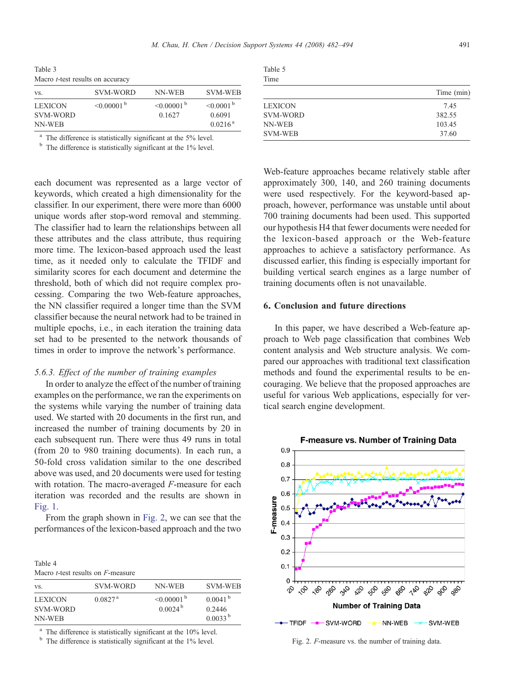<span id="page-9-0"></span>Table 3 Macro *t*-test results on accuracy

| VS.                        | SVM-WORD                 | NN-WEB                             | <b>SVM-WEB</b>                       |
|----------------------------|--------------------------|------------------------------------|--------------------------------------|
| <b>LEXICON</b><br>SVM-WORD | $< 0.00001$ <sup>b</sup> | $< 0.00001$ <sup>b</sup><br>0.1627 | $\leq 0.0001^{\mathrm{b}}$<br>0.6091 |
| NN-WEB                     |                          |                                    | $0.0216^{\text{a}}$                  |

<sup>a</sup> The difference is statistically significant at the 5% level. b The difference is statistically significant at the 1% level.

each document was represented as a large vector of keywords, which created a high dimensionality for the classifier. In our experiment, there were more than 6000 unique words after stop-word removal and stemming. The classifier had to learn the relationships between all these attributes and the class attribute, thus requiring more time. The lexicon-based approach used the least time, as it needed only to calculate the TFIDF and similarity scores for each document and determine the threshold, both of which did not require complex processing. Comparing the two Web-feature approaches, the NN classifier required a longer time than the SVM classifier because the neural network had to be trained in multiple epochs, i.e., in each iteration the training data set had to be presented to the network thousands of times in order to improve the network's performance.

#### 5.6.3. Effect of the number of training examples

In order to analyze the effect of the number of training examples on the performance, we ran the experiments on the systems while varying the number of training data used. We started with 20 documents in the first run, and increased the number of training documents by 20 in each subsequent run. There were thus 49 runs in total (from 20 to 980 training documents). In each run, a 50-fold cross validation similar to the one described above was used, and 20 documents were used for testing with rotation. The macro-averaged F-measure for each iteration was recorded and the results are shown in [Fig. 1](#page-5-0).

From the graph shown in Fig. 2, we can see that the performances of the lexicon-based approach and the two

| 1401C |  |                                                   |
|-------|--|---------------------------------------------------|
|       |  | Macro <i>t</i> -test results on <i>F</i> -measure |

Table 4

| VS.                                  | SVM-WORD            | NN-WEB                                  | <b>SVM-WEB</b>                                |
|--------------------------------------|---------------------|-----------------------------------------|-----------------------------------------------|
| <b>LEXICON</b><br>SVM-WORD<br>NN-WEB | 0.0827 <sup>a</sup> | $\leq 0.00001$ b<br>0.0024 <sup>b</sup> | 0.0041 <sup>b</sup><br>0.2446<br>$0.0033^{b}$ |

The difference is statistically significant at the 10% level.

 $<sup>b</sup>$  The difference is statistically significant at the 1% level.</sup>

| $\sim$<br>. | I<br>$\sim$ |
|-------------|-------------|
|             |             |

| Time            |            |
|-----------------|------------|
|                 | Time (min) |
| <b>LEXICON</b>  | 7.45       |
| <b>SVM-WORD</b> | 382.55     |
| NN-WEB          | 103.45     |
| SVM-WEB         | 37.60      |

Web-feature approaches became relatively stable after approximately 300, 140, and 260 training documents were used respectively. For the keyword-based approach, however, performance was unstable until about 700 training documents had been used. This supported our hypothesis H4 that fewer documents were needed for the lexicon-based approach or the Web-feature approaches to achieve a satisfactory performance. As discussed earlier, this finding is especially important for building vertical search engines as a large number of training documents often is not unavailable.

## 6. Conclusion and future directions

In this paper, we have described a Web-feature approach to Web page classification that combines Web content analysis and Web structure analysis. We compared our approaches with traditional text classification methods and found the experimental results to be encouraging. We believe that the proposed approaches are useful for various Web applications, especially for vertical search engine development.



Fig. 2. F-measure vs. the number of training data.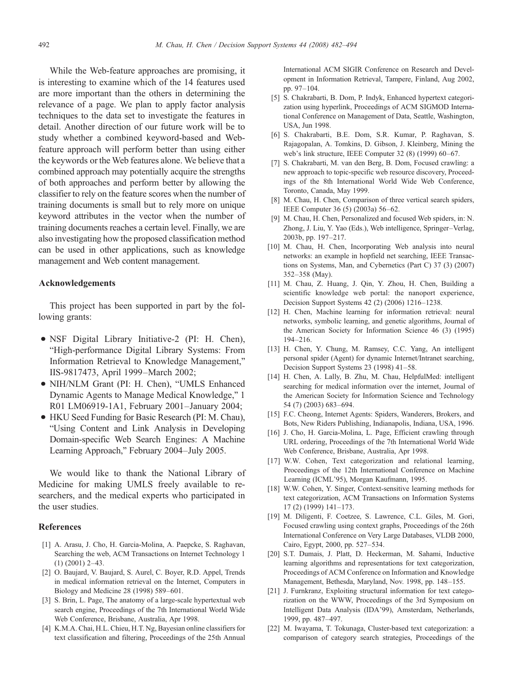<span id="page-10-0"></span>While the Web-feature approaches are promising, it is interesting to examine which of the 14 features used are more important than the others in determining the relevance of a page. We plan to apply factor analysis techniques to the data set to investigate the features in detail. Another direction of our future work will be to study whether a combined keyword-based and Webfeature approach will perform better than using either the keywords or the Web features alone. We believe that a combined approach may potentially acquire the strengths of both approaches and perform better by allowing the classifier to rely on the feature scores when the number of training documents is small but to rely more on unique keyword attributes in the vector when the number of training documents reaches a certain level. Finally, we are also investigating how the proposed classification method can be used in other applications, such as knowledge management and Web content management.

## Acknowledgements

This project has been supported in part by the following grants:

- NSF Digital Library Initiative-2 (PI: H. Chen), "High-performance Digital Library Systems: From Information Retrieval to Knowledge Management," IIS-9817473, April 1999–March 2002;
- NIH/NLM Grant (PI: H. Chen), "UMLS Enhanced Dynamic Agents to Manage Medical Knowledge," 1 R01 LM06919-1A1, February 2001–January 2004;
- HKU Seed Funding for Basic Research (PI: M. Chau), "Using Content and Link Analysis in Developing Domain-specific Web Search Engines: A Machine Learning Approach," February 2004–July 2005.

We would like to thank the National Library of Medicine for making UMLS freely available to researchers, and the medical experts who participated in the user studies.

#### References

- [1] A. Arasu, J. Cho, H. Garcia-Molina, A. Paepcke, S. Raghavan, Searching the web, ACM Transactions on Internet Technology 1 (1) (2001) 2–43.
- [2] O. Baujard, V. Baujard, S. Aurel, C. Boyer, R.D. Appel, Trends in medical information retrieval on the Internet, Computers in Biology and Medicine 28 (1998) 589–601.
- [3] S. Brin, L. Page, The anatomy of a large-scale hypertextual web search engine, Proceedings of the 7th International World Wide Web Conference, Brisbane, Australia, Apr 1998.
- [4] K.M.A. Chai, H.L. Chieu, H.T. Ng, Bayesian online classifiers for text classification and filtering, Proceedings of the 25th Annual

International ACM SIGIR Conference on Research and Development in Information Retrieval, Tampere, Finland, Aug 2002, pp. 97–104.

- [5] S. Chakrabarti, B. Dom, P. Indyk, Enhanced hypertext categorization using hyperlink, Proceedings of ACM SIGMOD International Conference on Management of Data, Seattle, Washington, USA, Jun 1998.
- [6] S. Chakrabarti, B.E. Dom, S.R. Kumar, P. Raghavan, S. Rajagopalan, A. Tomkins, D. Gibson, J. Kleinberg, Mining the web's link structure, IEEE Computer 32 (8) (1999) 60–67.
- [7] S. Chakrabarti, M. van den Berg, B. Dom, Focused crawling: a new approach to topic-specific web resource discovery, Proceedings of the 8th International World Wide Web Conference, Toronto, Canada, May 1999.
- [8] M. Chau, H. Chen, Comparison of three vertical search spiders, IEEE Computer 36 (5) (2003a) 56–62.
- [9] M. Chau, H. Chen, Personalized and focused Web spiders, in: N. Zhong, J. Liu, Y. Yao (Eds.), Web intelligence, Springer–Verlag, 2003b, pp. 197–217.
- [10] M. Chau, H. Chen, Incorporating Web analysis into neural networks: an example in hopfield net searching, IEEE Transactions on Systems, Man, and Cybernetics (Part C) 37 (3) (2007) 352–358 (May).
- [11] M. Chau, Z. Huang, J. Qin, Y. Zhou, H. Chen, Building a scientific knowledge web portal: the nanoport experience, Decision Support Systems 42 (2) (2006) 1216–1238.
- [12] H. Chen, Machine learning for information retrieval: neural networks, symbolic learning, and genetic algorithms, Journal of the American Society for Information Science 46 (3) (1995) 194–216.
- [13] H. Chen, Y. Chung, M. Ramsey, C.C. Yang, An intelligent personal spider (Agent) for dynamic Internet/Intranet searching, Decision Support Systems 23 (1998) 41–58.
- [14] H. Chen, A. Lally, B. Zhu, M. Chau, HelpfulMed: intelligent searching for medical information over the internet, Journal of the American Society for Information Science and Technology 54 (7) (2003) 683–694.
- [15] F.C. Cheong, Internet Agents: Spiders, Wanderers, Brokers, and Bots, New Riders Publishing, Indianapolis, Indiana, USA, 1996.
- [16] J. Cho, H. Garcia-Molina, L. Page, Efficient crawling through URL ordering, Proceedings of the 7th International World Wide Web Conference, Brisbane, Australia, Apr 1998.
- [17] W.W. Cohen, Text categorization and relational learning, Proceedings of the 12th International Conference on Machine Learning (ICML'95), Morgan Kaufmann, 1995.
- [18] W.W. Cohen, Y. Singer, Context-sensitive learning methods for text categorization, ACM Transactions on Information Systems 17 (2) (1999) 141–173.
- [19] M. Diligenti, F. Coetzee, S. Lawrence, C.L. Giles, M. Gori, Focused crawling using context graphs, Proceedings of the 26th International Conference on Very Large Databases, VLDB 2000, Cairo, Egypt, 2000, pp. 527–534.
- [20] S.T. Dumais, J. Platt, D. Heckerman, M. Sahami, Inductive learning algorithms and representations for text categorization, Proceedings of ACM Conference on Information and Knowledge Management, Bethesda, Maryland, Nov. 1998, pp. 148–155.
- [21] J. Furnkranz, Exploiting structural information for text categorization on the WWW, Proceedings of the 3rd Symposium on Intelligent Data Analysis (IDA'99), Amsterdam, Netherlands, 1999, pp. 487–497.
- [22] M. Iwayama, T. Tokunaga, Cluster-based text categorization: a comparison of category search strategies, Proceedings of the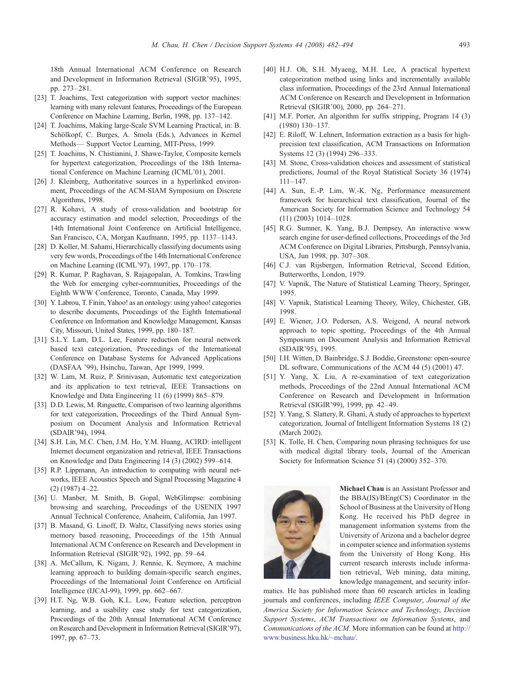<span id="page-11-0"></span>18th Annual International ACM Conference on Research and Development in Information Retrieval (SIGIR'95), 1995, pp. 273–281.

- [23] T. Joachims, Text categorization with support vector machines: learning with many relevant features, Proceedings of the European Conference on Machine Learning, Berlin, 1998, pp. 137–142.
- [24] T. Joachims, Making large-Scale SVM Learning Practical, in: B. Schölkopf, C. Burges, A. Smola (Eds.), Advances in Kernel Methods— Support Vector Learning, MIT-Press, 1999.
- [25] T. Joachims, N. Chistianini, J. Shawe-Taylor, Composite kernels for hypertext categorization, Proceedings of the 18th International Conference on Machine Learning (ICML'01), 2001.
- [26] J. Kleinberg, Authoritative sources in a hyperlinked environment, Proceedings of the ACM-SIAM Symposium on Discrete Algorithms, 1998.
- [27] R. Kohavi, A study of cross-validation and bootstrap for accuracy estimation and model selection, Proceedings of the 14th International Joint Conference on Artificial Intelligence, San Francisco, CA, Morgan Kaufmann, 1995, pp. 1137–1143.
- [28] D. Koller, M. Sahami, Hierarchically classifying documents using very few words, Proceedings of the 14th International Conference on Machine Learning (ICML'97), 1997, pp. 170–178.
- [29] R. Kumar, P. Raghavan, S. Rajagopalan, A. Tomkins, Trawling the Web for emerging cyber-communities, Proceedings of the Eighth WWW Conference, Toronto, Canada, May 1999.
- [30] Y. Labrou, T. Finin, Yahoo! as an ontology: using yahoo! categories to describe documents, Proceedings of the Eighth International Conference on Information and Knowledge Management, Kansas City, Missouri, United States, 1999, pp. 180–187.
- [31] S.L.Y. Lam, D.L. Lee, Feature reduction for neural network based text categorization, Proceedings of the International Conference on Database Systems for Advanced Applications (DASFAA '99), Hsinchu, Taiwan, Apr 1999, 1999.
- [32] W. Lam, M. Ruiz, P. Srinivasan, Automatic text categorization and its application to text retrieval, IEEE Transactions on Knowledge and Data Engineering 11 (6) (1999) 865–879.
- [33] D.D. Lewis, M. Ringuette, Comparison of two learning algorithms for text categorization, Proceedings of the Third Annual Symposium on Document Analysis and Information Retrieval (SDAIR'94), 1994.
- [34] S.H. Lin, M.C. Chen, J.M. Ho, Y.M. Huang, ACIRD: intelligent Internet document organization and retrieval, IEEE Transactions on Knowledge and Data Engineering 14 (3) (2002) 599–614.
- [35] R.P. Lippmann, An introduction to computing with neural networks, IEEE Acoustics Speech and Signal Processing Magazine 4 (2) (1987) 4–22.
- [36] U. Manber, M. Smith, B. Gopal, WebGlimpse: combining browsing and searching, Proceedings of the USENIX 1997 Annual Technical Conference, Anaheim, California, Jan 1997.
- [37] B. Masand, G. Linoff, D. Waltz, Classifying news stories using memory based reasoning, Proceeedings of the 15th Annual International ACM Conference on Research and Development in Information Retrieval (SIGIR'92), 1992, pp. 59–64.
- [38] A. McCallum, K. Nigam, J. Rennie, K. Seymore, A machine learning approach to building domain-specific search engines, Proceedings of the International Joint Conference on Artificial Intelligence (IJCAI-99), 1999, pp. 662–667.
- [39] H.T. Ng, W.B. Goh, K.L. Low, Feature selection, perceptron learning, and a usability case study for text categorization, Proceedings of the 20th Annual International ACM Conference on Research and Development in Information Retrieval (SIGIR'97), 1997, pp. 67–73.
- [40] H.J. Oh, S.H. Myaeng, M.H. Lee, A practical hypertext categorization method using links and incrementally available class information, Proceedings of the 23rd Annual International ACM Conference on Research and Development in Information Retrieval (SIGIR'00), 2000, pp. 264–271.
- [41] M.F. Porter, An algorithm for suffix stripping, Program 14 (3) (1980) 130–137.
- [42] E. Riloff, W. Lehnert, Information extraction as a basis for highprecision text classification, ACM Transactions on Information Systems 12 (3) (1994) 296–333.
- [43] M. Stone, Cross-validation choices and assessment of statistical predictions, Journal of the Royal Statistical Society 36 (1974) 111–147.
- [44] A. Sun, E.-P. Lim, W.-K. Ng, Performance measurement framework for hierarchical text classification, Journal of the American Society for Information Science and Technology 54 (11) (2003) 1014–1028.
- [45] R.G. Sumner, K. Yang, B.J. Dempsey, An interactive www search engine for user-defined collections, Proceedings of the 3rd ACM Conference on Digital Libraries, Pittsburgh, Pennsylvania, USA, Jun 1998, pp. 307–308.
- [46] C.J. van Rijsbergen, Information Retrieval, Second Edition, Butterworths, London, 1979.
- [47] V. Vapnik, The Nature of Statistical Learning Theory, Springer, 1995.
- [48] V. Vapnik, Statistical Learning Theory, Wiley, Chichester, GB, 1998.
- [49] E. Wiener, J.O. Pedersen, A.S. Weigend, A neural network approach to topic spotting, Proceedings of the 4th Annual Symposium on Document Analysis and Information Retrieval (SDAIR'95), 1995.
- [50] I.H. Witten, D. Bainbridge, S.J. Boddie, Greenstone: open-source DL software, Communications of the ACM 44 (5) (2001) 47.
- [51] Y. Yang, X. Liu, A re-examination of text categorization methods, Proceedings of the 22nd Annual International ACM Conference on Research and Development in Information Retrieval (SIGIR'99), 1999, pp. 42–49.
- [52] Y. Yang, S. Slattery, R. Ghani, A study of approaches to hypertext categorization, Journal of Intelligent Information Systems 18 (2) (March 2002).
- [53] K. Tolle, H. Chen, Comparing noun phrasing techniques for use with medical digital library tools, Journal of the American Society for Information Science 51 (4) (2000) 352–370.



Michael Chau is an Assistant Professor and the BBA(IS)/BEng(CS) Coordinator in the School of Business at the University of Hong Kong. He received his PhD degree in management information systems from the University of Arizona and a bachelor degree in computer science and information systems from the University of Hong Kong. His current research interests include information retrieval, Web mining, data mining, knowledge management, and security infor-

matics. He has published more than 60 research articles in leading journals and conferences, including IEEE Computer, Journal of the America Society for Information Science and Technology, Decision Support Systems, ACM Transactions on Information Systems, and Communications of the ACM. More information can be found at [http://](http://www.business.hku.hk/~mchau/) [www.business.hku.hk/~mchau/.](http://www.business.hku.hk/~mchau/)